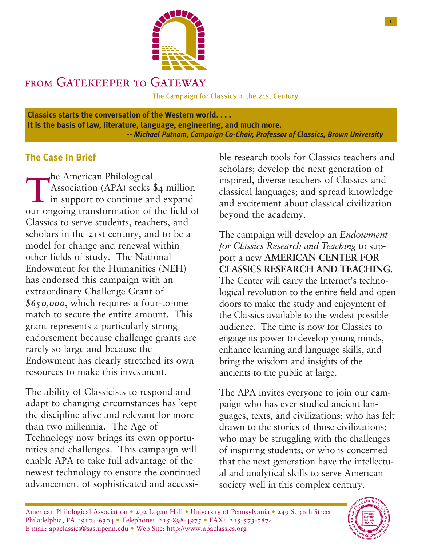

# FROM GATEKEEPER TO GAT

The Campaign for Classics in the 21st Century

**Classics starts the conversation of the Western world. . . . It is the basis of law, literature, language, engineering, and much more.** *-- Michael Putnam, Campaign Co-Chair, Professor of Classics, Brown University*

### **The Case In Brief**

**The American Philological** Association (APA) seeks \$4 million  $\overline{\phantom{a}}$  in support to continue and expand our ongoing transformation of the field of Classics to serve students, teachers, and scholars in the 21st century, and to be a model for change and renewal within other fields of study. The National Endowment for the Humanities (NEH) has endorsed this campaign with an extraordinary Challenge Grant of *\$650,000*, which requires a four-to-one match to secure the entire amount. This grant represents a particularly strong endorsement because challenge grants are rarely so large and because the Endowment has clearly stretched its own resources to make this investment.

The ability of Classicists to respond and adapt to changing circumstances has kept the discipline alive and relevant for more than two millennia. The Age of Technology now brings its own opportunities and challenges. This campaign will enable APA to take full advantage of the newest technology to ensure the continued advancement of sophisticated and accessi-

ble research tools for Classics teachers and scholars; develop the next generation of inspired, diverse teachers of Classics and classical languages; and spread knowledge and excitement about classical civilization beyond the academy.

The campaign will develop an *Endowment for Classics Research and Teaching* to support a new **AMERICAN CENTER FOR CLASSICS RESEARCH AND TEACHING**. The Center will carry the Internet's technological revolution to the entire field and open doors to make the study and enjoyment of the Classics available to the widest possible audience. The time is now for Classics to engage its power to develop young minds, enhance learning and language skills, and bring the wisdom and insights of the ancients to the public at large.

The APA invites everyone to join our campaign who has ever studied ancient languages, texts, and civilizations; who has felt drawn to the stories of those civilizations; who may be struggling with the challenges of inspiring students; or who is concerned that the next generation have the intellectual and analytical skills to serve American society well in this complex century.

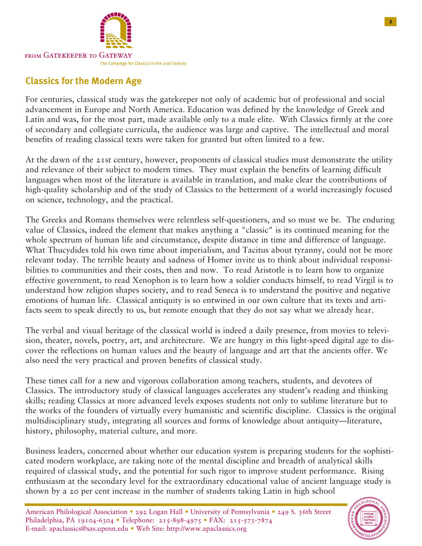

# **Classics for the Modern Age**

For centuries, classical study was the gatekeeper not only of academic but of professional and social advancement in Europe and North America. Education was defined by the knowledge of Greek and Latin and was, for the most part, made available only to a male elite. With Classics firmly at the core of secondary and collegiate curricula, the audience was large and captive. The intellectual and moral benefits of reading classical texts were taken for granted but often limited to a few.

At the dawn of the 21st century, however, proponents of classical studies must demonstrate the utility and relevance of their subject to modern times. They must explain the benefits of learning difficult languages when most of the literature is available in translation, and make clear the contributions of high-quality scholarship and of the study of Classics to the betterment of a world increasingly focused on science, technology, and the practical.

The Greeks and Romans themselves were relentless self-questioners, and so must we be. The enduring value of Classics, indeed the element that makes anything a "classic" is its continued meaning for the whole spectrum of human life and circumstance, despite distance in time and difference of language. What Thucydides told his own time about imperialism, and Tacitus about tyranny, could not be more relevant today. The terrible beauty and sadness of Homer invite us to think about individual responsibilities to communities and their costs, then and now. To read Aristotle is to learn how to organize effective government, to read Xenophon is to learn how a soldier conducts himself, to read Virgil is to understand how religion shapes society, and to read Seneca is to understand the positive and negative emotions of human life. Classical antiquity is so entwined in our own culture that its texts and artifacts seem to speak directly to us, but remote enough that they do not say what we already hear.

The verbal and visual heritage of the classical world is indeed a daily presence, from movies to television, theater, novels, poetry, art, and architecture. We are hungry in this light-speed digital age to discover the reflections on human values and the beauty of language and art that the ancients offer. We also need the very practical and proven benefits of classical study.

These times call for a new and vigorous collaboration among teachers, students, and devotees of Classics. The introductory study of classical languages accelerates any student's reading and thinking skills; reading Classics at more advanced levels exposes students not only to sublime literature but to the works of the founders of virtually every humanistic and scientific discipline. Classics is the original multidisciplinary study, integrating all sources and forms of knowledge about antiquity—literature, history, philosophy, material culture, and more.

Business leaders, concerned about whether our education system is preparing students for the sophisticated modern workplace, are taking note of the mental discipline and breadth of analytical skills required of classical study, and the potential for such rigor to improve student performance. Rising enthusiasm at the secondary level for the extraordinary educational value of ancient language study is shown by a 20 per cent increase in the number of students taking Latin in high school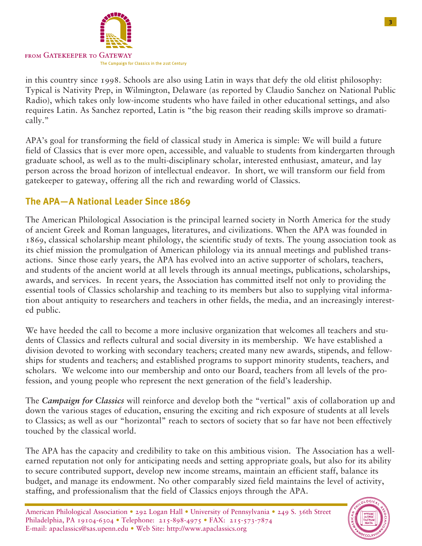

in this country since 1998. Schools are also using Latin in ways that defy the old elitist philosophy: Typical is Nativity Prep, in Wilmington, Delaware (as reported by Claudio Sanchez on National Public Radio), which takes only low-income students who have failed in other educational settings, and also requires Latin. As Sanchez reported, Latin is "the big reason their reading skills improve so dramatically."

APA's goal for transforming the field of classical study in America is simple: We will build a future field of Classics that is ever more open, accessible, and valuable to students from kindergarten through graduate school, as well as to the multi-disciplinary scholar, interested enthusiast, amateur, and lay person across the broad horizon of intellectual endeavor. In short, we will transform our field from gatekeeper to gateway, offering all the rich and rewarding world of Classics.

# **The APA—A National Leader Since 1869**

The American Philological Association is the principal learned society in North America for the study of ancient Greek and Roman languages, literatures, and civilizations. When the APA was founded in 1869, classical scholarship meant philology, the scientific study of texts. The young association took as its chief mission the promulgation of American philology via its annual meetings and published transactions. Since those early years, the APA has evolved into an active supporter of scholars, teachers, and students of the ancient world at all levels through its annual meetings, publications, scholarships, awards, and services. In recent years, the Association has committed itself not only to providing the essential tools of Classics scholarship and teaching to its members but also to supplying vital information about antiquity to researchers and teachers in other fields, the media, and an increasingly interested public.

We have heeded the call to become a more inclusive organization that welcomes all teachers and students of Classics and reflects cultural and social diversity in its membership. We have established a division devoted to working with secondary teachers; created many new awards, stipends, and fellowships for students and teachers; and established programs to support minority students, teachers, and scholars. We welcome into our membership and onto our Board, teachers from all levels of the profession, and young people who represent the next generation of the field's leadership.

The *Campaign for Classics* will reinforce and develop both the "vertical" axis of collaboration up and down the various stages of education, ensuring the exciting and rich exposure of students at all levels to Classics; as well as our "horizontal" reach to sectors of society that so far have not been effectively touched by the classical world.

The APA has the capacity and credibility to take on this ambitious vision. The Association has a wellearned reputation not only for anticipating needs and setting appropriate goals, but also for its ability to secure contributed support, develop new income streams, maintain an efficient staff, balance its budget, and manage its endowment. No other comparably sized field maintains the level of activity, staffing, and professionalism that the field of Classics enjoys through the APA.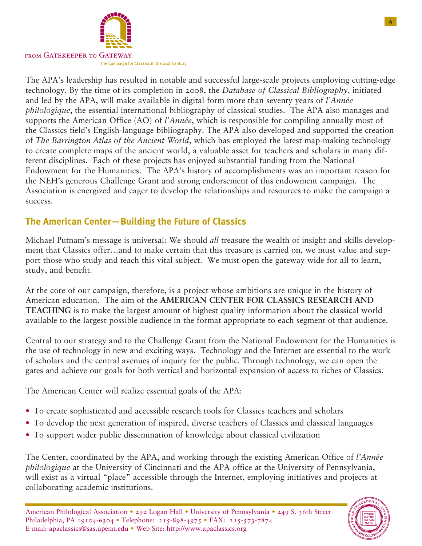

The APA's leadership has resulted in notable and successful large-scale projects employing cutting-edge technology. By the time of its completion in 2008, the *Database of Classical Bibliography*, initiated and led by the APA, will make available in digital form more than seventy years of *l'Année philologique*, the essential international bibliography of classical studies. The APA also manages and supports the American Office (AO) of *l'Année*, which is responsible for compiling annually most of the Classics field's English-language bibliography. The APA also developed and supported the creation of *The Barrington Atlas of the Ancient World*, which has employed the latest map-making technology to create complete maps of the ancient world, a valuable asset for teachers and scholars in many different disciplines. Each of these projects has enjoyed substantial funding from the National Endowment for the Humanities. The APA's history of accomplishments was an important reason for the NEH's generous Challenge Grant and strong endorsement of this endowment campaign. The Association is energized and eager to develop the relationships and resources to make the campaign a success.

# **The American Center—Building the Future of Classics**

Michael Putnam's message is universal: We should *all* treasure the wealth of insight and skills development that Classics offer…and to make certain that this treasure is carried on, we must value and support those who study and teach this vital subject. We must open the gateway wide for all to learn, study, and benefit.

At the core of our campaign, therefore, is a project whose ambitions are unique in the history of American education. The aim of the **AMERICAN CENTER FOR CLASSICS RESEARCH AND TEACHING** is to make the largest amount of highest quality information about the classical world available to the largest possible audience in the format appropriate to each segment of that audience.

Central to our strategy and to the Challenge Grant from the National Endowment for the Humanities is the use of technology in new and exciting ways. Technology and the Internet are essential to the work of scholars and the central avenues of inquiry for the public. Through technology, we can open the gates and achieve our goals for both vertical and horizontal expansion of access to riches of Classics.

The American Center will realize essential goals of the APA:

- To create sophisticated and accessible research tools for Classics teachers and scholars
- To develop the next generation of inspired, diverse teachers of Classics and classical languages
- To support wider public dissemination of knowledge about classical civilization

The Center, coordinated by the APA, and working through the existing American Office of *l'Année philologique* at the University of Cincinnati and the APA office at the University of Pennsylvania, will exist as a virtual "place" accessible through the Internet, employing initiatives and projects at collaborating academic institutions.

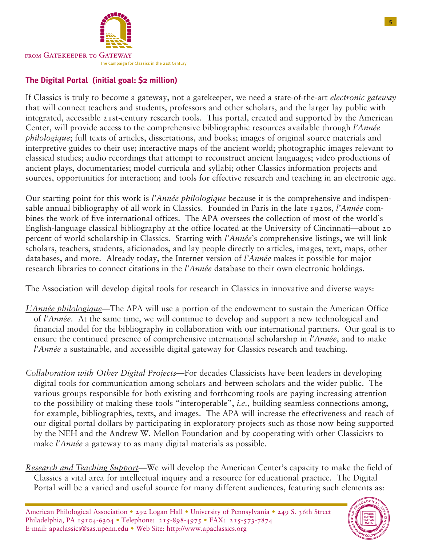

#### **The Digital Portal (initial goal: \$2 million)**

If Classics is truly to become a gateway, not a gatekeeper, we need a state-of-the-art *electronic gateway* that will connect teachers and students, professors and other scholars, and the larger lay public with integrated, accessible 21st-century research tools. This portal, created and supported by the American Center, will provide access to the comprehensive bibliographic resources available through *l'Année philologique*; full texts of articles, dissertations, and books; images of original source materials and interpretive guides to their use; interactive maps of the ancient world; photographic images relevant to classical studies; audio recordings that attempt to reconstruct ancient languages; video productions of ancient plays, documentaries; model curricula and syllabi; other Classics information projects and sources, opportunities for interaction; and tools for effective research and teaching in an electronic age.

Our starting point for this work is *l'Année philologique* because it is the comprehensive and indispensable annual bibliography of all work in Classics. Founded in Paris in the late 1920s, *l'Année* combines the work of five international offices. The APA oversees the collection of most of the world's English-language classical bibliography at the office located at the University of Cincinnati—about 20 percent of world scholarship in Classics. Starting with *l'Année*'s comprehensive listings, we will link scholars, teachers, students, aficionados, and lay people directly to articles, images, text, maps, other databases, and more. Already today, the Internet version of *l'Année* makes it possible for major research libraries to connect citations in the *l'Année* database to their own electronic holdings.

The Association will develop digital tools for research in Classics in innovative and diverse ways:

- *L'Année philologique*—The APA will use a portion of the endowment to sustain the American Office of *l'Année*. At the same time, we will continue to develop and support a new technological and financial model for the bibliography in collaboration with our international partners. Our goal is to ensure the continued presence of comprehensive international scholarship in *l'Année*, and to make *l'Année* a sustainable, and accessible digital gateway for Classics research and teaching.
- *Collaboration with Other Digital Projects*—For decades Classicists have been leaders in developing digital tools for communication among scholars and between scholars and the wider public. The various groups responsible for both existing and forthcoming tools are paying increasing attention to the possibility of making these tools "interoperable", *i.e.*, building seamless connections among, for example, bibliographies, texts, and images. The APA will increase the effectiveness and reach of our digital portal dollars by participating in exploratory projects such as those now being supported by the NEH and the Andrew W. Mellon Foundation and by cooperating with other Classicists to make *l'Année* a gateway to as many digital materials as possible.
- *Research and Teaching Support*—We will develop the American Center's capacity to make the field of Classics a vital area for intellectual inquiry and a resource for educational practice. The Digital Portal will be a varied and useful source for many different audiences, featuring such elements as:

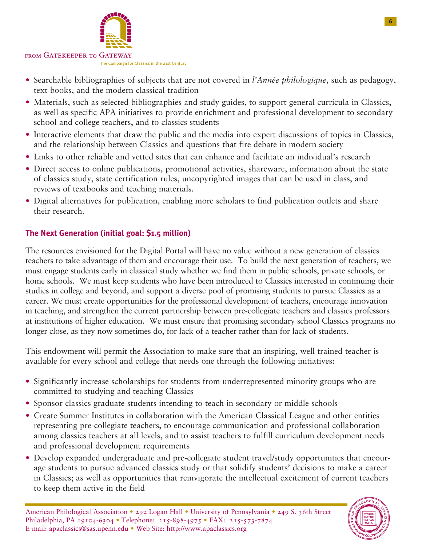

- Searchable bibliographies of subjects that are not covered in *l'Année philologique*, such as pedagogy, text books, and the modern classical tradition
- Materials, such as selected bibliographies and study guides, to support general curricula in Classics, as well as specific APA initiatives to provide enrichment and professional development to secondary school and college teachers, and to classics students
- Interactive elements that draw the public and the media into expert discussions of topics in Classics, and the relationship between Classics and questions that fire debate in modern society
- Links to other reliable and vetted sites that can enhance and facilitate an individual's research
- Direct access to online publications, promotional activities, shareware, information about the state of classics study, state certification rules, uncopyrighted images that can be used in class, and reviews of textbooks and teaching materials.
- Digital alternatives for publication, enabling more scholars to find publication outlets and share their research.

#### **The Next Generation (initial goal: \$1.5 million)**

The resources envisioned for the Digital Portal will have no value without a new generation of classics teachers to take advantage of them and encourage their use. To build the next generation of teachers, we must engage students early in classical study whether we find them in public schools, private schools, or home schools. We must keep students who have been introduced to Classics interested in continuing their studies in college and beyond, and support a diverse pool of promising students to pursue Classics as a career. We must create opportunities for the professional development of teachers, encourage innovation in teaching, and strengthen the current partnership between pre-collegiate teachers and classics professors at institutions of higher education. We must ensure that promising secondary school Classics programs no longer close, as they now sometimes do, for lack of a teacher rather than for lack of students.

This endowment will permit the Association to make sure that an inspiring, well trained teacher is available for every school and college that needs one through the following initiatives:

- Significantly increase scholarships for students from underrepresented minority groups who are committed to studying and teaching Classics
- Sponsor classics graduate students intending to teach in secondary or middle schools
- Create Summer Institutes in collaboration with the American Classical League and other entities representing pre-collegiate teachers, to encourage communication and professional collaboration among classics teachers at all levels, and to assist teachers to fulfill curriculum development needs and professional development requirements
- Develop expanded undergraduate and pre-collegiate student travel/study opportunities that encourage students to pursue advanced classics study or that solidify students' decisions to make a career in Classics; as well as opportunities that reinvigorate the intellectual excitement of current teachers to keep them active in the field

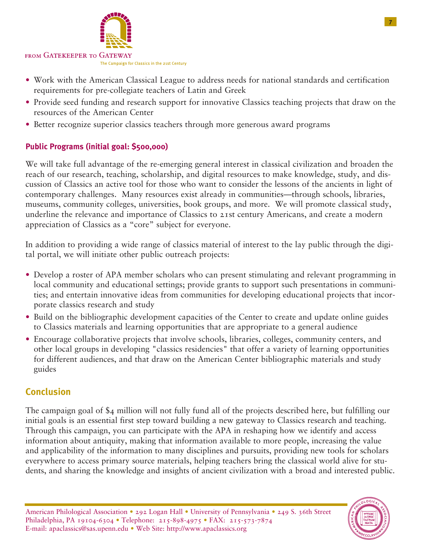

- Work with the American Classical League to address needs for national standards and certification requirements for pre-collegiate teachers of Latin and Greek
- Provide seed funding and research support for innovative Classics teaching projects that draw on the resources of the American Center
- Better recognize superior classics teachers through more generous award programs

#### **Public Programs (initial goal: \$500,000)**

We will take full advantage of the re-emerging general interest in classical civilization and broaden the reach of our research, teaching, scholarship, and digital resources to make knowledge, study, and discussion of Classics an active tool for those who want to consider the lessons of the ancients in light of contemporary challenges. Many resources exist already in communities—through schools, libraries, museums, community colleges, universities, book groups, and more. We will promote classical study, underline the relevance and importance of Classics to 21st century Americans, and create a modern appreciation of Classics as a "core" subject for everyone.

In addition to providing a wide range of classics material of interest to the lay public through the digital portal, we will initiate other public outreach projects:

- Develop a roster of APA member scholars who can present stimulating and relevant programming in local community and educational settings; provide grants to support such presentations in communities; and entertain innovative ideas from communities for developing educational projects that incorporate classics research and study
- Build on the bibliographic development capacities of the Center to create and update online guides to Classics materials and learning opportunities that are appropriate to a general audience
- Encourage collaborative projects that involve schools, libraries, colleges, community centers, and other local groups in developing "classics residencies" that offer a variety of learning opportunities for different audiences, and that draw on the American Center bibliographic materials and study guides

### **Conclusion**

The campaign goal of \$4 million will not fully fund all of the projects described here, but fulfilling our initial goals is an essential first step toward building a new gateway to Classics research and teaching. Through this campaign, you can participate with the APA in reshaping how we identify and access information about antiquity, making that information available to more people, increasing the value and applicability of the information to many disciplines and pursuits, providing new tools for scholars everywhere to access primary source materials, helping teachers bring the classical world alive for students, and sharing the knowledge and insights of ancient civilization with a broad and interested public.